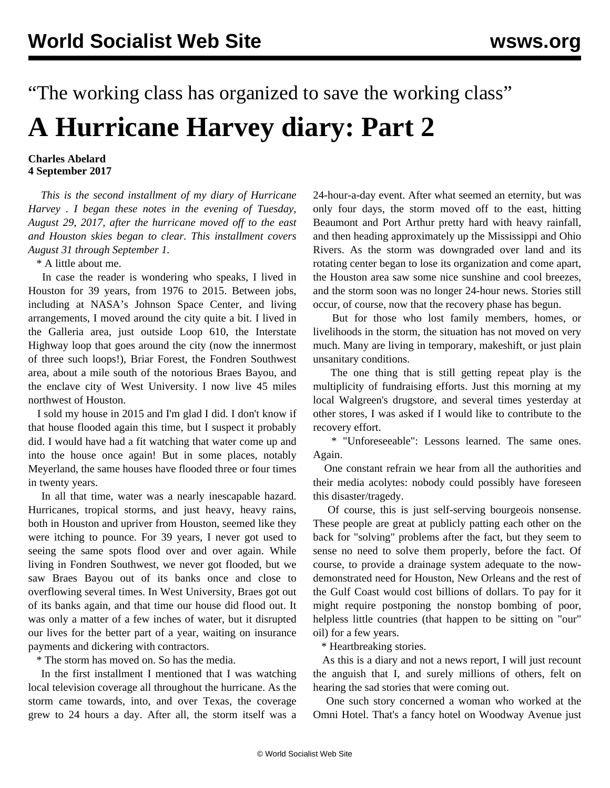"The working class has organized to save the working class"

## **A Hurricane Harvey diary: Part 2**

## **Charles Abelard 4 September 2017**

 *This is the second installment of my diary of Hurricane Harvey . I began these notes in the evening of Tuesday, August 29, 2017, after the hurricane moved off to the east and Houston skies began to clear. This installment covers August 31 through September 1.*

\* A little about me.

 In case the reader is wondering who speaks, I lived in Houston for 39 years, from 1976 to 2015. Between jobs, including at NASA's Johnson Space Center, and living arrangements, I moved around the city quite a bit. I lived in the Galleria area, just outside Loop 610, the Interstate Highway loop that goes around the city (now the innermost of three such loops!), Briar Forest, the Fondren Southwest area, about a mile south of the notorious Braes Bayou, and the enclave city of West University. I now live 45 miles northwest of Houston.

 I sold my house in 2015 and I'm glad I did. I don't know if that house flooded again this time, but I suspect it probably did. I would have had a fit watching that water come up and into the house once again! But in some places, notably Meyerland, the same houses have flooded three or four times in twenty years.

 In all that time, water was a nearly inescapable hazard. Hurricanes, tropical storms, and just heavy, heavy rains, both in Houston and upriver from Houston, seemed like they were itching to pounce. For 39 years, I never got used to seeing the same spots flood over and over again. While living in Fondren Southwest, we never got flooded, but we saw Braes Bayou out of its banks once and close to overflowing several times. In West University, Braes got out of its banks again, and that time our house did flood out. It was only a matter of a few inches of water, but it disrupted our lives for the better part of a year, waiting on insurance payments and dickering with contractors.

\* The storm has moved on. So has the media.

 In the first installment I mentioned that I was watching local television coverage all throughout the hurricane. As the storm came towards, into, and over Texas, the coverage grew to 24 hours a day. After all, the storm itself was a 24-hour-a-day event. After what seemed an eternity, but was only four days, the storm moved off to the east, hitting Beaumont and Port Arthur pretty hard with heavy rainfall, and then heading approximately up the Mississippi and Ohio Rivers. As the storm was downgraded over land and its rotating center began to lose its organization and come apart, the Houston area saw some nice sunshine and cool breezes, and the storm soon was no longer 24-hour news. Stories still occur, of course, now that the recovery phase has begun.

 But for those who lost family members, homes, or livelihoods in the storm, the situation has not moved on very much. Many are living in temporary, makeshift, or just plain unsanitary conditions.

 The one thing that is still getting repeat play is the multiplicity of fundraising efforts. Just this morning at my local Walgreen's drugstore, and several times yesterday at other stores, I was asked if I would like to contribute to the recovery effort.

 \* "Unforeseeable": Lessons learned. The same ones. Again.

 One constant refrain we hear from all the authorities and their media acolytes: nobody could possibly have foreseen this disaster/tragedy.

 Of course, this is just self-serving bourgeois nonsense. These people are great at publicly patting each other on the back for "solving" problems after the fact, but they seem to sense no need to solve them properly, before the fact. Of course, to provide a drainage system adequate to the nowdemonstrated need for Houston, New Orleans and the rest of the Gulf Coast would cost billions of dollars. To pay for it might require postponing the nonstop bombing of poor, helpless little countries (that happen to be sitting on "our" oil) for a few years.

\* Heartbreaking stories.

 As this is a diary and not a news report, I will just recount the anguish that I, and surely millions of others, felt on hearing the sad stories that were coming out.

 One such story concerned a woman who worked at the Omni Hotel. That's a fancy hotel on Woodway Avenue just